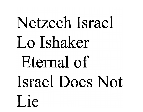# Netzech Israel Lo Ishaker Eternal of Israel Does Not Lie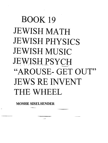# BOOK **19 JEWISH MATH** JEWISH PHYSICS JEWISH MUSIC JEWISH PSYCH "AROUSE- GET OUT" JEWS RE INVENT THE WHEEL

**MOSHE SISELSENDER**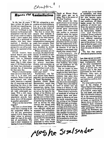Chapter

**Roote Of Assimilation** 

In the last 30 years. I have written 20 books on Jewish Law regarding contemporary problems. I earn my livelihood in the business world and am well acquainted with the realities of our youth in today's world. I have spoken and dealt with a multitude of couples who have intermarried. 1 therefore an competent from a scholarly perspective, as well as realistic in my appraisal of the situation.

Jewish leaders have turned heaven and earth decrying President Reagan's visit to Bitburg's cemetery in West Germany, May 5, 1985, where some 47 SS Nazis are buried. Some have declared a national day of mourning for that same day.

Whatever misinterpretations can arise from such a visit, it is, at most, only symbolic. What is real and not symbolic and what really deserves a national day of mourning and soul searching for Jews is the spiritual holocaust that is decimating the Jewish people right underneath our noses. With a 50% intermarriage rate and zero population growth. how many Jews will be around in another generation?

What is at the root of this tragedy?

The root is a three-letter word that is missing in all the misguided efforts to win the new generation. namely G-O-D. Some Jews today refuse to acknowledge the root of the problem of assimilation. The root is their insistance on tossing G-d out of Judaism.

We are witnessing a new creation of a faith withouta G-d. or at least divorced from Him as the Author of Jewish practices and law.

The first to invent this canard, that Judaism is man-made, were the bible erities in the 19th Century. whose purpose was to delegitimitize Judaism and make Jews outcasts. Their baseless premises have been shredded by Jewish and non-Jewish scholars.

Whose testimony are we to accept, the objective testimony of millions of individuals experiencing the details of the Laws of Kashrus. Shabbos. family purity, prayer, marriage. divorce, and conversion, as recorded in the Talmud and Shulchan Aruch, or the fiction of people living  $3.500$  vears later?

Furthermore, the Talmud volume Baba Metzia. page 92A, and the prologue to Yaad Hachazaka, by Rambam (Rabbi Moses Maimonides). record that there existed millions of manuscripts dating from the time of the Exodus that served as the basis for the editors of the Mishna and the Talmud. These manuscripts were written by the Jews during the forty years of wandering the desert, as well as during the time interval that passed until the Mishna and Talmud were officially edited and accepted. The authenticity of Judaic practice is its continuous and consistent acceptance by Jews all over the world. For thousands of years. these Laws were practiced in every Jewish home from the giving of the Torah at Mount Sinai. 3,500 years ago, up to today. This is the power of the Oral Tradition.

 $\mathbf{1}$ 

Why should the thousands of Jews we are losing to assimilation and intermarriage (without the non-Jewish party converting) remain Jews when those who profess to represent Judaism adopt the tactics of our worst enemies? Not only do the anti-Semites try, by falsehoods, to delegitimitize the Divine origin and the authenticity of Judaism. but Jews themselves do likewise. If all that is Judaism is man-made, why should they remain Jews?

Unfortunately, the detractors of Judaism have succeeded in selling their fiction. That is the reason for the mass exodus of Jews from Judaism. Jews today are too intelligent for the fiction of the detractors.

Can we expect to have non-Jews, spouses of Jews, taught by their faith that it is Divine, exchange it for a Judaism that some Jews claim is man-made? Likewise, do we really expect any Jew to be committed to a "faith" that is decided by men? If certain men can create it or destroy it, why should they not do likewise?

There exists a minimum of hundreds of millions of Judaica books and documents in libraries all over the world, extending from the writing of the Talmud 2,000 years ago up to today. With the exception of the writings of the bible critics and those Jews searching to cast off such Jewish Laws they consider burdensome. which of these millions of books does not accept the Divine authority of all Jewish Laws in our possession today?

Jewish Law is not fixed or monolithic, and there exist variable faces to each law that become operational under changed factual conditions. All these books accept the Divine authority of Jewish Law. Even the sectarian groups in Jewish history. such as the Samaritans, Sadduccees. and Karaites. accepted Divine authority for Jewish Law. They, however, differed regarding certain practices at the start of the schism. In time. they drifted far apart, until these groups disappeared from the scene of Jeish history.

The fact that certain Jews do not practice Jewish

Law does not per se confer the status of Judaism upon their irreligiousity. Even all the other monotheistic faiths accept the Divine basis of Jewish Law. but contend that it has been superceded by their faith. However, Jews were at Sinai thousands of years earlier. Jewish practices and doctrine confirm Jewish belief.

For what makes up Judaism? Is the singing of "Hava Nagila" and "Hatikvah" Judaism? Is the eating of knaidlach. matzo balls. lox and bagel. and gefilte fish with borscht Judaism? Or is the commemoration of the Holocaust, the birth of Israel, or marching for Soviet Jewry all there is to Judaism? Such emotional experiences will satisfy the older generation, who witnessed the Holocaust. but creates only a sour taste for their children and Jews-bychoice.

Maghe Siselsmder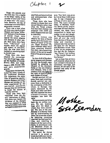Chapter

Those who preside over the UJA may win a respite to the bitter reality of the number of Jews and "Jews in name only" who contribute. However, the day of reckoning is no more than a generation removed.

There was a time when all Jews. as a result of their lifestyle and being "different" because of the dictates of Jewish ritual, were spared the social plagues and diseases of other people. Now many Jews have been "liberated" and equally share the pigues and misery of non-Jews. Only the wise Jews have insisted on remaining loyal to Jewish Law.

Those Jews who have adopted the convenient way out of marriage, without the burdens of Jewish divorce (Get), now experience a 50% divorce rate and zero population growth.

Those Jews who have ridiculed the many rituals of the traditional Shabbos now experience the same risks of acquiring psychosomatic diseases and heart disease and strokes as the risks experienced by the non-Jewish population becuase they are not forced to break the tension of weekday activity.

Those who have been "liberated" from the dietary restrictions of observant Jews now lament the incidence of the diseases they are exposed to when eating forbidden food, such as hepatitis associated with shell fish and tenure solium and echinococciasis when eating pork.

Those Jews who have elected to choose their own sexual lifestyle rather than what the Torah ordains find that their election was pregnant with AIDS and other diseases that can lead to infertility.

Jewish women who observe the laws of family purity have the lowest incidence of cancer of the cervix. Those Jewesses who have different ideas about these practices discover that their risk of acquiring cancer of the cervix equals those of the general population.

In view of all of the above social plagues and diseases the Jew has brought upon himself by adopting the lifestyle of the dominant faiths or the non-religious civil lifestyle, what is the wisdom of all who fight forthe right of Jews to adopt such modes of living?

Jewish survival will not come from such practices. Jewish survival can only come from a dedication to the civilization of the Jew. which, in Europe, was nearly destroyed by the Nazis and other anti-Semites who resented the Jews' competitiveness and intrusion into their lifestyle.

No monuments can bring back the six million martyrs. We can. however, keep alive the ideals to which they were committed. The aim of the anti-Semites is to destroy Judaism by exterminating the Jews. Let us counter-attack by marrying, remaining married, having large families, and resolving to observe all the Laws of Judaism, in accordance with the Shulchan Aruch, as Jews have practiced for the past 3,500 years.

The secret for Jewish survival is to accept as truth the 3.500 year conviction of all the Jewish Mar-

tyrs: "Our faith was given by G-d at Sinai 3.500 years ago. It was witnessed by millions of Jews and non-Jews. The Laws existing today, of Shabbos, Kashrus, family purity, prayer. marriage, divorce, and conversion, are those Laws transmitted by father and mother to son and daughter. They were practiced by Jews all over the world from the time of Sinai until today and recorded in manuscripts that served as the basis for the Talmud and Shulchan Aruch. That is why we are prepared to live and die for Judaism. "Am Yisroel Chai LeOlam - The Jewish People will live forever."

Let us hope that all Jews will sincerely adopt Jewish Law, at least in the areas of conversion, marriage, and divorce, for the sake of the survival and unity of the Jewish people.

Moske<br>Siselsemder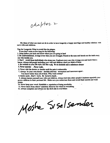chapter 2

My ideas of what one must not do in order to have longevity a happy marriage and healthy relations with one's wife and children.

Tips for Longevity What to avoid like the plague.

If you don't want to live long do the following:

1. Jump before you look and know where you are going to land

2. Be confrontational. Avenge every time you are wronged. Punch in the nose and knock out the teeth every one who insults you.

3. Don't avoid those individuals who stress you. Confront every one who wrongs you and teach them a lesson. Always tell people including your wife and children what you think of them.

4. Be reckless in your life style. Eat like a pig. Be an alcoholic and a substance abuser

5. Never exercise . Never walk.

6. Never visit the doctor or dentist until the pain is unbearable.

7. Always be your own doctor dentists attorney accountant and insurance agent.

You know better than all of them. Why waste money?

8. Retire early . Don't work. Be bored to death.

9. Always berate yourself your wife and children. Always butt into other people's business especially your grown children in their personal life. Make sure you embarrass them and reveal their secrets and weak points.

10. Never keep your word. Establish a reputation of being unreliable.

11. Never learn from others' mistakes. Discover the wheel in everything.

12. Always complain and always see the dark side in everything.

Mostre SISelsender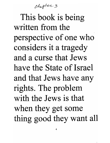Chopter 3

This book is being written from the perspective of one who considers it a tragedy and a curse that Jews have the State of Israel and that Jews have any rights. The problem with the Jews is that when they get some thing good they want all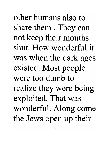other humans also to share them . They can not keep their mouths shut. How wonderful it was when the dark ages existed. Most people were too dumb to realize they were being exploited. That was wonderful. Along come the Jews open up their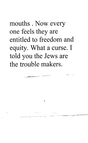mouths. Now every one feels they are entitled to freedom and equity. What a curse. I told you the Jews are the trouble makers.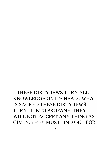# THESE DIRTY JEWS TURN ALL KNOWLEDGEONITSHEAD.WHAT IS SACRED THESE DIRTY JEWS TURN IT INTO PROFANE. THEY WILL NOT ACCEPT ANY THING AS GIVEN. THEY MUST FIND OUT FOR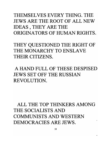THEMSELVES EVERY THING. THE JEWS ARE THE ROOT OF ALL NEW IDEAS, THEY ARE THE ORIGINATORS OF HUMAN RIGHTS.

THEY QUESTIONED THE RIGHT OF THE MONARCHY TO ENSLAVE THEIR CITIZENS.

A HAND FULL OF THESE DESPISED JEWS SET OFF THE RUSSIAN REVOLUTION.

ALL THE TOP THINKERS AMONG THE SOCIALISTS AND COMMUNISTS AND WESTERN DEMOCRACIES ARE JEWS.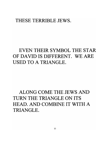#### THESE TERRIBLE JEWS.

### EVEN THEIR SYMBOL THE STAR OF DAVID IS DIFFERENT. WE ARE USED TO A TRIANGLE.

# ALONG COME THE JEWS AND TURN THE TRIANGLE ON ITS HEAD. AND COMBINE IT WITH A TRIANGLE.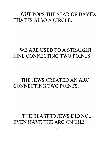#### OUT POPS THE STAR OF DAVID. THAT IS ALSO A CIRCLE.

#### WE ARE USED TO A STRAIGHT LINE CONNECTING TWO POINTS.

#### THE JEWS CREATED AN ARC CONNECTING TWO POINTS.

### THE BLASTED JEWS DID NOT EVEN HAVE THE ARC ON THE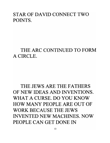#### STAR OF DAVID CONNECT TWO POINTS.

#### THE ARC CONTINUED TO FORM A CIRCLE.

# THE JEWS ARE THE FATHERS OF NEW IDEAS AND INVENTIONS. WHAT A CURSE. DO YOU KNOW HOW MANY PEOPLE ARE OUT OF WORK BECAUSE THE JEWS INVENTED NEW MACHINES. NOW PEOPLE CAN GET DONE IN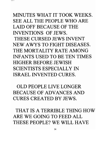# MINUTES WHAT IT TOOK WEEKS. SEE ALL THE PEOPLE WHO ARE LAID OFF BECAUSE OF THE INVENTIONS OF JEWS. THESE CURSED JEWS INVENT NEW A WYS TO FIGHT DISEASES. THE MORTALITY RATE AMONG INFANTS USED TO BE TEN TIMES HIGHER BEFORE JEWISH SCIENTISTS ESPECIALLY IN ISRAEL INVENTED CURES.

OLD PEOPLE LIVE LONGER BECAUSE OF ADVANCES AND CURES CREATED BY JEWS.

THAT IS A TERRIBLE THING HOW ARE WE GOING TO FEED ALL THESE PEOPLE? WE WILL HAVE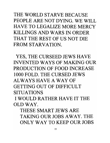THE WORLD STARVE BECAUSE PEOPLE ARE NOT DYING. WE WILL HAVE TO LEGALIZE MORE MERCY KILLINGS AND WARS IN ORDER THAT THE REST OF US NOT DIE FROM STARVATION.

YES, THE CURSEED JEWS HAVE INVENTED WAYS OF MAKING OUR PRODUCTION OF FOOD INCREASE 1000 FOLD. THE CURSED JEWS ALWAYS HAVE A WAY OF GETTING OUT OF DIFFICULT SITUATIONS I WOULD RATHER HAVE **IT** THE OLD WAY.

THESE SMART JEWS ARE TAKING OUR JOBS AWAY. THE ONLY WAY TO KEEP OUR JOBS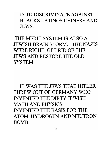IS TO DISCRIMINATE AGAINST BLACKS LATINOS CHINESE AND JEWS.

THE MERIT SYSTEM IS ALSO A JEWISH BRAIN STORM. THE NAZIS WERE RIGHT. GET RID OF THE JEWS AND RESTORE THE OLD SYSTEM.

IT WAS THE JEWS THAT HITLER THREW OUT OF GERMANY WHO INVENTED THE DIRTY JEWISH MATH AND PHYSICS INVENTED THE BASIS FOR THE ATOM HYDROGEN AND NEUTRON BOMB.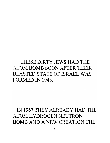# THESE DIRTY JEWS HAD THE ATOM BOMB SOON AFTER THEIR BLASTED STATE OF ISRAEL WAS FORMED IN 1948.

# IN 1967 THEY ALREADY HAD THE ATOM HYDROGEN NEUTRON BOMB AND A NEW CREATION THE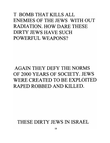### T BOMB THAT KILLS ALL ENEMIES OF THE JEWS WITH OUT RADIATION. HOW DARE THESE DIRTY JEWS HAVE SUCH POWERFUL WEAPONS?

# AGAIN THEY DEFY THE NORMS OF 2000 YEARS OF SOCIETY. JEWS WERE CREATED TO BE EXPLOITED RAPED ROBBED AND KILLED.

#### THESE DIRTY JEWS IN ISRAEL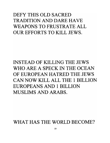### DEFY THIS OLD SACRED TRADITION AND DARE HAVE WEAPONS TO FRUSTRATE ALL OUR EFFORTS TO KILL JEWS.

INSTEAD OF KILLING THE JEWS WHO ARE A SPECK IN THE OCEAN OF EUROPEAN HATRED THE JEWS CAN NOW KILL ALL THE 1 BILLION EUROPEANS AND 1 BILLION MUSLIMS AND ARABS.

WHAT HAS THE WORLD BECOME?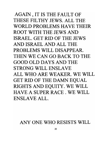AGAIN, IT IS THE FAULT OF THESE FILTHY JEWS. ALL THE WORLD PROBLEMS HAVE THEIR ROOT WITH THE JEWS AND ISRAEL. GET RID OF THE JEWS AND ISRAEL AND ALL THE PROBLEMS WILL DISAPPEAR. THEN WE CAN GO BACK TO THE GOOD OLD DAYS AND THE STRONG WILL ENSLAVE ALL WHO ARE WEAKER. WE WILL GET RID OF THE DAMN EQUAL RIGHTS AND EQUITY. WE WILL HAVE A SUPER RACE. WE WILL ENSLAVE ALL.

ANY ONE WHO RESISTS WILL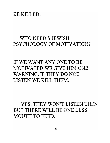#### BE KILLED.

#### WHO NEED S JEWISH PSYCHOLOGY OF MOTIVATION?

# IF WE WANT ANY ONE TO BE MOTIVATED WE GIVE HIM ONE WARNING. IF THEY DO NOT LISTEN WE KILL THEM.

YES, THEY WON'T LISTEN THEN BUT THERE WILL BE ONE LESS MOUTH TO FEED.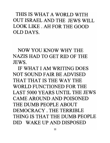THIS IS WHAT A WORLD WITH OUT ISRAEL AND THE JEWS WILL LOOK LIKE. AH FOR THE GOOD OLD DAYS.

NOW YOU KNOW WHY THE NAZIS HAD TO GET RID OF THE JEWS.

IF WHAT I AM WRITING DOES NOT SOUND FAIR BE ADVISED THAT THAT IS THE WAY THE WORLD FUNCTIONED FOR THE LAST 5000 YEARS UNTIL THE JEWS CAME AROUND AND POISONED THE DUMB PEOPLE ABOUT DEMOCRACY. THE TERRIBLE THING IS THAT THE DUMB PEOPLE DID WAKE UP AND DISPOSED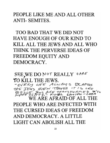PEOPLE LIKE ME AND ALL OTHER **ANTI-SEMITES.** 

TOO BAD THAT WE DID NOT **HAVE ENOUGH OF OUR KIND TO** KILL ALL THE JEWS AND ALL WHO THINK THE PERVERSE IDEAS OF FREEDOM EQUITY AND DEMOCRACY.

SEE WE DO NOT REALLY CARE TO KILL THE JEWS. "EVERY ONE ALWAYS BLAMES THE JEWS EVEN THOVEH IT IS ONE BIGLIE JEWS ARE TRANSFORMED WE ARE AFRAID OF ALL PEOPLE WHO ARE INFECTED WITH THE CURSED IDEAS OF FREEDOM AND DEMOCRACY. A LITTLE LIGHT CAN ABOLISH ALL THE